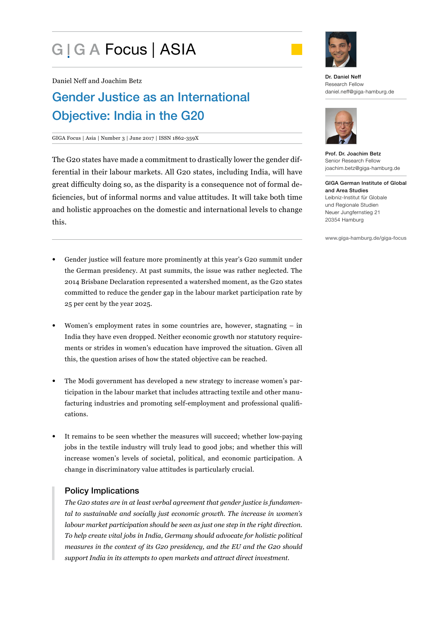# G | G A Focus | ASIA



Daniel Neff and Joachim Betz

## Gender Justice as an International Objective: India in the G20

#### GIGA Focus | Asia | Number 3 | June 2017 | ISSN 1862-359X

The G20 states have made a commitment to drastically lower the gender differential in their labour markets. All G20 states, including India, will have great difficulty doing so, as the disparity is a consequence not of formal deficiencies, but of informal norms and value attitudes. It will take both time and holistic approaches on the domestic and international levels to change this.

- Gender justice will feature more prominently at this year's G20 summit under the German presidency. At past summits, the issue was rather neglected. The 2014 Brisbane Declaration represented a watershed moment, as the G20 states committed to reduce the gender gap in the labour market participation rate by 25 per cent by the year 2025.
- Women's employment rates in some countries are, however, stagnating in India they have even dropped. Neither economic growth nor statutory requirements or strides in women's education have improved the situation. Given all this, the question arises of how the stated objective can be reached.
- The Modi government has developed a new strategy to increase women's participation in the labour market that includes attracting textile and other manufacturing industries and promoting self-employment and professional qualifications.
- It remains to be seen whether the measures will succeed; whether low-paying jobs in the textile industry will truly lead to good jobs; and whether this will increase women's levels of societal, political, and economic participation. A change in discriminatory value attitudes is particularly crucial.

## Policy Implications

*The G20 states are in at least verbal agreement that gender justice is fundamental to sustainable and socially just economic growth. The increase in women's labour market participation should be seen as just one step in the right direction. To help create vital jobs in India, Germany should advocate for holistic political measures in the context of its G20 presidency, and the EU and the G20 should support India in its attempts to open markets and attract direct investment.*





Prof. Dr. Joachim Betz Senior Research Fellow joachim.betz@giga-hamburg.de

GIGA German Institute of Global and Area Studies Leibniz-Institut für Globale und Regionale Studien Neuer Jungfernstieg 21 20354 Hamburg

www.giga-hamburg.de/giga-focus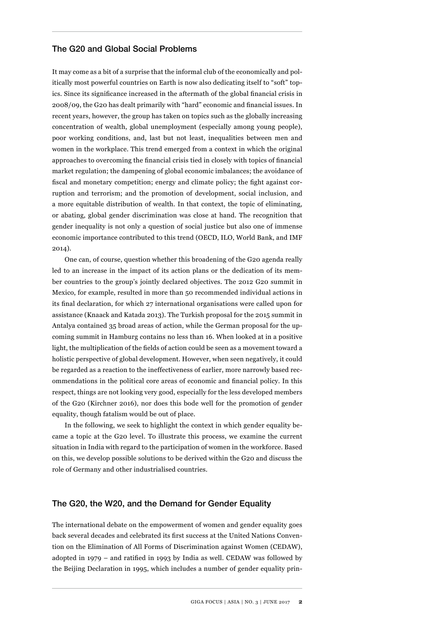## The G20 and Global Social Problems

It may come as a bit of a surprise that the informal club of the economically and politically most powerful countries on Earth is now also dedicating itself to "soft" topics. Since its significance increased in the aftermath of the global financial crisis in 2008/09, the G20 has dealt primarily with "hard" economic and financial issues. In recent years, however, the group has taken on topics such as the globally increasing concentration of wealth, global unemployment (especially among young people), poor working conditions, and, last but not least, inequalities between men and women in the workplace. This trend emerged from a context in which the original approaches to overcoming the financial crisis tied in closely with topics of financial market regulation; the dampening of global economic imbalances; the avoidance of fiscal and monetary competition; energy and climate policy; the fight against corruption and terrorism; and the promotion of development, social inclusion, and a more equitable distribution of wealth. In that context, the topic of eliminating, or abating, global gender discrimination was close at hand. The recognition that gender inequality is not only a question of social justice but also one of immense economic importance contributed to this trend (OECD, ILO, World Bank, and IMF 2014).

One can, of course, question whether this broadening of the G20 agenda really led to an increase in the impact of its action plans or the dedication of its member countries to the group's jointly declared objectives. The 2012 G20 summit in Mexico, for example, resulted in more than 50 recommended individual actions in its final declaration, for which 27 international organisations were called upon for assistance (Knaack and Katada 2013). The Turkish proposal for the 2015 summit in Antalya contained 35 broad areas of action, while the German proposal for the upcoming summit in Hamburg contains no less than 16. When looked at in a positive light, the multiplication of the fields of action could be seen as a movement toward a holistic perspective of global development. However, when seen negatively, it could be regarded as a reaction to the ineffectiveness of earlier, more narrowly based recommendations in the political core areas of economic and financial policy. In this respect, things are not looking very good, especially for the less developed members of the G20 (Kirchner 2016), nor does this bode well for the promotion of gender equality, though fatalism would be out of place.

In the following, we seek to highlight the context in which gender equality became a topic at the G20 level. To illustrate this process, we examine the current situation in India with regard to the participation of women in the workforce. Based on this, we develop possible solutions to be derived within the G20 and discuss the role of Germany and other industrialised countries.

## The G20, the W20, and the Demand for Gender Equality

The international debate on the empowerment of women and gender equality goes back several decades and celebrated its first success at the United Nations Convention on the Elimination of All Forms of Discrimination against Women (CEDAW), adopted in 1979 – and ratified in 1993 by India as well. CEDAW was followed by the Beijing Declaration in 1995, which includes a number of gender equality prin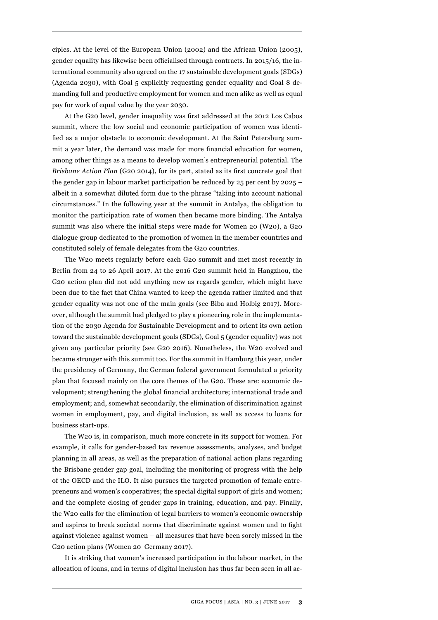ciples. At the level of the European Union (2002) and the African Union (2005), gender equality has likewise been officialised through contracts. In 2015/16, the international community also agreed on the 17 sustainable development goals (SDGs) (Agenda 2030), with Goal 5 explicitly requesting gender equality and Goal 8 demanding full and productive employment for women and men alike as well as equal pay for work of equal value by the year 2030.

At the G20 level, gender inequality was first addressed at the 2012 Los Cabos summit, where the low social and economic participation of women was identified as a major obstacle to economic development. At the Saint Petersburg summit a year later, the demand was made for more financial education for women, among other things as a means to develop women's entrepreneurial potential. The *Brisbane Action Plan* (G20 2014), for its part, stated as its first concrete goal that the gender gap in labour market participation be reduced by  $25$  per cent by  $2025$ albeit in a somewhat diluted form due to the phrase "taking into account national circumstances." In the following year at the summit in Antalya, the obligation to monitor the participation rate of women then became more binding. The Antalya summit was also where the initial steps were made for Women 20 (W20), a G20 dialogue group dedicated to the promotion of women in the member countries and constituted solely of female delegates from the G20 countries.

The W20 meets regularly before each G20 summit and met most recently in Berlin from 24 to 26 April 2017. At the 2016 G20 summit held in Hangzhou, the G20 action plan did not add anything new as regards gender, which might have been due to the fact that China wanted to keep the agenda rather limited and that gender equality was not one of the main goals (see Biba and Holbig 2017). Moreover, although the summit had pledged to play a pioneering role in the implementation of the 2030 Agenda for Sustainable Development and to orient its own action toward the sustainable development goals (SDGs), Goal 5 (gender equality) was not given any particular priority (see G20 2016). Nonetheless, the W20 evolved and became stronger with this summit too. For the summit in Hamburg this year, under the presidency of Germany, the German federal government formulated a priority plan that focused mainly on the core themes of the G20. These are: economic development; strengthening the global financial architecture; international trade and employment; and, somewhat secondarily, the elimination of discrimination against women in employment, pay, and digital inclusion, as well as access to loans for business start-ups.

The W20 is, in comparison, much more concrete in its support for women. For example, it calls for gender-based tax revenue assessments, analyses, and budget planning in all areas, as well as the preparation of national action plans regarding the Brisbane gender gap goal, including the monitoring of progress with the help of the OECD and the ILO. It also pursues the targeted promotion of female entrepreneurs and women's cooperatives; the special digital support of girls and women; and the complete closing of gender gaps in training, education, and pay. Finally, the W20 calls for the elimination of legal barriers to women's economic ownership and aspires to break societal norms that discriminate against women and to fight against violence against women – all measures that have been sorely missed in the G20 action plans (Women 20 Germany 2017).

It is striking that women's increased participation in the labour market, in the allocation of loans, and in terms of digital inclusion has thus far been seen in all ac-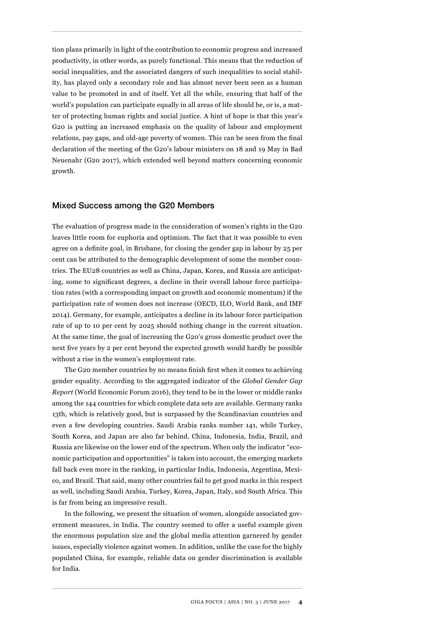tion plans primarily in light of the contribution to economic progress and increased productivity, in other words, as purely functional. This means that the reduction of social inequalities, and the associated dangers of such inequalities to social stability, has played only a secondary role and has almost never been seen as a human value to be promoted in and of itself. Yet all the while, ensuring that half of the world's population can participate equally in all areas of life should be, or is, a matter of protecting human rights and social justice. A hint of hope is that this year's G20 is putting an increased emphasis on the quality of labour and employment relations, pay gaps, and old-age poverty of women. This can be seen from the final declaration of the meeting of the G20's labour ministers on 18 and 19 May in Bad Neuenahr (G20 2017), which extended well beyond matters concerning economic growth.

## Mixed Success among the G20 Members

The evaluation of progress made in the consideration of women's rights in the G20 leaves little room for euphoria and optimism. The fact that it was possible to even agree on a definite goal, in Brisbane, for closing the gender gap in labour by 25 per cent can be attributed to the demographic development of some the member countries. The EU28 countries as well as China, Japan, Korea, and Russia are anticipating, some to significant degrees, a decline in their overall labour force participation rates (with a corresponding impact on growth and economic momentum) if the participation rate of women does not increase (OECD, ILO, World Bank, and IMF 2014). Germany, for example, anticipates a decline in its labour force participation rate of up to 10 per cent by 2025 should nothing change in the current situation. At the same time, the goal of increasing the G20's gross domestic product over the next five years by 2 per cent beyond the expected growth would hardly be possible without a rise in the women's employment rate.

The G20 member countries by no means finish first when it comes to achieving gender equality. According to the aggregated indicator of the *Global Gender Gap Report* (World Economic Forum 2016), they tend to be in the lower or middle ranks among the 144 countries for which complete data sets are available. Germany ranks 13th, which is relatively good, but is surpassed by the Scandinavian countries and even a few developing countries. Saudi Arabia ranks number 141, while Turkey, South Korea, and Japan are also far behind. China, Indonesia, India, Brazil, and Russia are likewise on the lower end of the spectrum. When only the indicator "economic participation and opportunities" is taken into account, the emerging markets fall back even more in the ranking, in particular India, Indonesia, Argentina, Mexico, and Brazil. That said, many other countries fail to get good marks in this respect as well, including Saudi Arabia, Turkey, Korea, Japan, Italy, and South Africa. This is far from being an impressive result.

In the following, we present the situation of women, alongside associated government measures, in India. The country seemed to offer a useful example given the enormous population size and the global media attention garnered by gender issues, especially violence against women. In addition, unlike the case for the highly populated China, for example, reliable data on gender discrimination is available for India.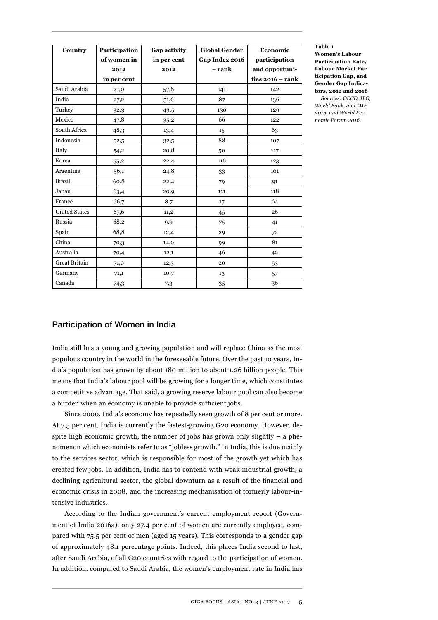| Country              | Participation<br>of women in | Gap activity<br>in per cent | <b>Global Gender</b><br>Gap Index 2016<br>– rank | Economic<br>participation            |  |
|----------------------|------------------------------|-----------------------------|--------------------------------------------------|--------------------------------------|--|
|                      | 2012<br>in per cent          | 2012                        |                                                  | and opportuni-<br>ties $2016 - rank$ |  |
| Saudi Arabia         | 21,0                         | 57,8                        | 141                                              | 142                                  |  |
| India                | 27,2                         | 51,6                        | 87                                               | 136                                  |  |
| Turkey               | 32,3                         | 43,5                        | 130                                              | 129                                  |  |
| Mexico               | 47,8                         | 35,2                        | 66                                               | 122                                  |  |
| South Africa         | 48,3                         | 13,4                        | 15                                               | 63                                   |  |
| Indonesia            | 52,5                         | 32,5                        | 88                                               | 107                                  |  |
| Italy                | 54,2                         | 20,8                        | 50                                               | 117                                  |  |
| Korea                | 55,2                         | 22,4                        | 116                                              | 123                                  |  |
| Argentina            | 56,1                         | 24,8                        | 33                                               | 101                                  |  |
| <b>Brazil</b>        | 60,8                         | 22,4                        | 79                                               | 91                                   |  |
| Japan                | 63,4                         | 20,9                        | 111                                              | 118                                  |  |
| France               | 66,7                         | 8,7                         | 17                                               | 64                                   |  |
| <b>United States</b> | 67,6                         | 11,2                        | 45                                               | 26                                   |  |
| Russia               | 68,2                         | 9,9                         | 75                                               | 41                                   |  |
| Spain                | 68,8                         | 12,4                        | 29                                               | 72                                   |  |
| China                | 70,3                         | 14,0                        | 99                                               | 81                                   |  |
| Australia            | 70,4                         | 12,1                        | 46                                               | 42                                   |  |
| <b>Great Britain</b> | 71,0                         | 12,3                        | 20                                               | 53                                   |  |
| Germany              | 71,1                         | 10,7                        | 13                                               | 57                                   |  |
| Canada               | 74,3                         | 7.3                         | 35                                               | 36                                   |  |

**Table 1** 

**Women's Labour Participation Rate, Labour Market Participation Gap, and Gender Gap Indicators, 2012 and 2016** *Sources: OECD, ILO,* 

*World Bank, and IMF 2014, and World Economic Forum 2016.*

## Participation of Women in India

India still has a young and growing population and will replace China as the most populous country in the world in the foreseeable future. Over the past 10 years, India's population has grown by about 180 million to about 1.26 billion people. This means that India's labour pool will be growing for a longer time, which constitutes a competitive advantage. That said, a growing reserve labour pool can also become a burden when an economy is unable to provide sufficient jobs.

Since 2000, India's economy has repeatedly seen growth of 8 per cent or more. At 7.5 per cent, India is currently the fastest-growing G20 economy. However, despite high economic growth, the number of jobs has grown only slightly  $-$  a phenomenon which economists refer to as "jobless growth." In India, this is due mainly to the services sector, which is responsible for most of the growth yet which has created few jobs. In addition, India has to contend with weak industrial growth, a declining agricultural sector, the global downturn as a result of the financial and economic crisis in 2008, and the increasing mechanisation of formerly labour-intensive industries.

According to the Indian government's current employment report (Government of India 2016a), only 27.4 per cent of women are currently employed, compared with 75.5 per cent of men (aged 15 years). This corresponds to a gender gap of approximately 48.1 percentage points. Indeed, this places India second to last, after Saudi Arabia, of all G20 countries with regard to the participation of women. In addition, compared to Saudi Arabia, the women's employment rate in India has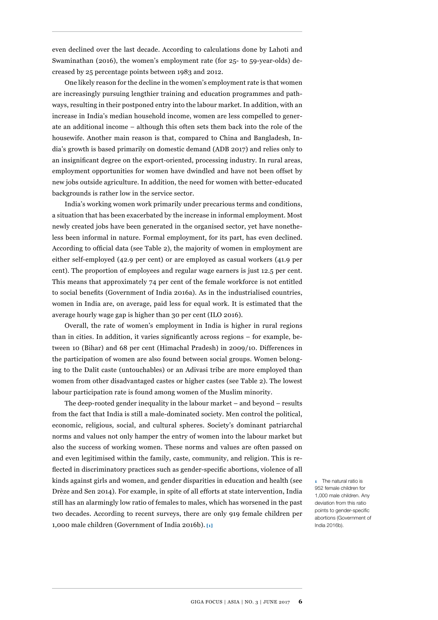even declined over the last decade. According to calculations done by Lahoti and Swaminathan (2016), the women's employment rate (for 25- to 59-year-olds) decreased by 25 percentage points between 1983 and 2012.

One likely reason for the decline in the women's employment rate is that women are increasingly pursuing lengthier training and education programmes and pathways, resulting in their postponed entry into the labour market. In addition, with an increase in India's median household income, women are less compelled to generate an additional income – although this often sets them back into the role of the housewife. Another main reason is that, compared to China and Bangladesh, India's growth is based primarily on domestic demand (ADB 2017) and relies only to an insignificant degree on the export-oriented, processing industry. In rural areas, employment opportunities for women have dwindled and have not been offset by new jobs outside agriculture. In addition, the need for women with better-educated backgrounds is rather low in the service sector.

India's working women work primarily under precarious terms and conditions, a situation that has been exacerbated by the increase in informal employment. Most newly created jobs have been generated in the organised sector, yet have nonetheless been informal in nature. Formal employment, for its part, has even declined. According to official data (see Table 2), the majority of women in employment are either self-employed (42.9 per cent) or are employed as casual workers (41.9 per cent). The proportion of employees and regular wage earners is just 12.5 per cent. This means that approximately 74 per cent of the female workforce is not entitled to social benefits (Government of India 2016a). As in the industrialised countries, women in India are, on average, paid less for equal work. It is estimated that the average hourly wage gap is higher than 30 per cent (ILO 2016).

Overall, the rate of women's employment in India is higher in rural regions than in cities. In addition, it varies significantly across regions – for example, between 10 (Bihar) and 68 per cent (Himachal Pradesh) in 2009/10. Differences in the participation of women are also found between social groups. Women belonging to the Dalit caste (untouchables) or an Adivasi tribe are more employed than women from other disadvantaged castes or higher castes (see Table 2). The lowest labour participation rate is found among women of the Muslim minority.

The deep-rooted gender inequality in the labour market – and beyond – results from the fact that India is still a male-dominated society. Men control the political, economic, religious, social, and cultural spheres. Society's dominant patriarchal norms and values not only hamper the entry of women into the labour market but also the success of working women. These norms and values are often passed on and even legitimised within the family, caste, community, and religion. This is reflected in discriminatory practices such as gender-specific abortions, violence of all kinds against girls and women, and gender disparities in education and health (see Drèze and Sen 2014). For example, in spite of all efforts at state intervention, India still has an alarmingly low ratio of females to males, which has worsened in the past two decades. According to recent surveys, there are only 919 female children per 1,000 male children (Government of India 2016b). **[1]**

**1** The natural ratio is 952 female children for 1,000 male children. Any deviation from this ratio points to gender-specific abortions (Government of India 2016b).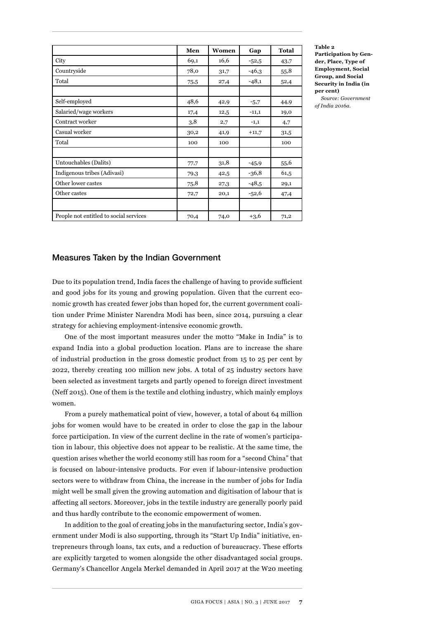|                                        | Men  | Women | Gap     | <b>Total</b> |
|----------------------------------------|------|-------|---------|--------------|
| City                                   | 69,1 | 16,6  | $-52,5$ | 43,7         |
| Countryside                            | 78,0 | 31,7  | $-46,3$ | 55,8         |
| Total                                  | 75,5 | 27,4  | $-48,1$ | 52,4         |
|                                        |      |       |         |              |
| Self-employed                          | 48,6 | 42,9  | $-5,7$  | 44,9         |
| Salaried/wage workers                  | 17,4 | 12,5  | $-11,1$ | 19,0         |
| Contract worker                        | 3,8  | 2,7   | $-1,1$  | 4,7          |
| Casual worker                          | 30,2 | 41,9  | $+11,7$ | 31,5         |
| Total                                  | 100  | 100   |         | 100          |
|                                        |      |       |         |              |
| Untouchables (Dalits)                  | 77,7 | 31,8  | $-45,9$ | 55,6         |
| Indigenous tribes (Adivasi)            | 79,3 | 42,5  | $-36,8$ | 61,5         |
| Other lower castes                     | 75,8 | 27,3  | $-48,5$ | 29,1         |
| Other castes                           | 72,7 | 20,1  | $-52,6$ | 47,4         |
|                                        |      |       |         |              |
| People not entitled to social services | 70,4 | 74,0  | $+3,6$  | 71,2         |

#### **Table 2**

**Participation by Gender, Place, Type of Employment, Social Group, and Social Security in India (in per cent)**

*Source: Government of India 2016a.*

## Measures Taken by the Indian Government

Due to its population trend, India faces the challenge of having to provide sufficient and good jobs for its young and growing population. Given that the current economic growth has created fewer jobs than hoped for, the current government coalition under Prime Minister Narendra Modi has been, since 2014, pursuing a clear strategy for achieving employment-intensive economic growth.

One of the most important measures under the motto "Make in India" is to expand India into a global production location. Plans are to increase the share of industrial production in the gross domestic product from 15 to 25 per cent by 2022, thereby creating 100 million new jobs. A total of 25 industry sectors have been selected as investment targets and partly opened to foreign direct investment (Neff 2015). One of them is the textile and clothing industry, which mainly employs women.

From a purely mathematical point of view, however, a total of about 64 million jobs for women would have to be created in order to close the gap in the labour force participation. In view of the current decline in the rate of women's participation in labour, this objective does not appear to be realistic. At the same time, the question arises whether the world economy still has room for a "second China" that is focused on labour-intensive products. For even if labour-intensive production sectors were to withdraw from China, the increase in the number of jobs for India might well be small given the growing automation and digitisation of labour that is affecting all sectors. Moreover, jobs in the textile industry are generally poorly paid and thus hardly contribute to the economic empowerment of women.

In addition to the goal of creating jobs in the manufacturing sector, India's government under Modi is also supporting, through its "Start Up India" initiative, entrepreneurs through loans, tax cuts, and a reduction of bureaucracy. These efforts are explicitly targeted to women alongside the other disadvantaged social groups. Germany's Chancellor Angela Merkel demanded in April 2017 at the W20 meeting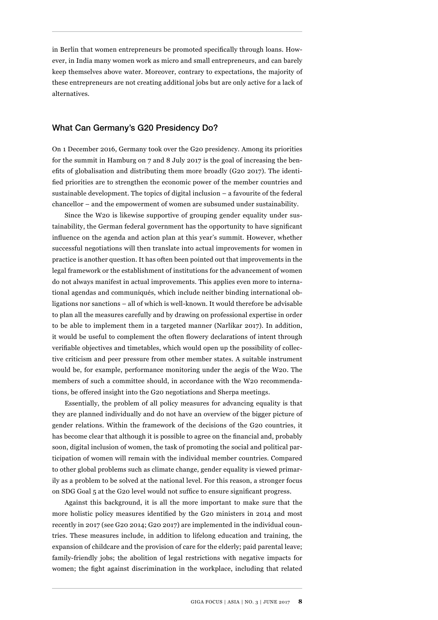in Berlin that women entrepreneurs be promoted specifically through loans. However, in India many women work as micro and small entrepreneurs, and can barely keep themselves above water. Moreover, contrary to expectations, the majority of these entrepreneurs are not creating additional jobs but are only active for a lack of alternatives.

## What Can Germany's G20 Presidency Do?

On 1 December 2016, Germany took over the G20 presidency. Among its priorities for the summit in Hamburg on 7 and 8 July 2017 is the goal of increasing the benefits of globalisation and distributing them more broadly (G20 2017). The identified priorities are to strengthen the economic power of the member countries and sustainable development. The topics of digital inclusion – a favourite of the federal chancellor – and the empowerment of women are subsumed under sustainability.

Since the W20 is likewise supportive of grouping gender equality under sustainability, the German federal government has the opportunity to have significant influence on the agenda and action plan at this year's summit. However, whether successful negotiations will then translate into actual improvements for women in practice is another question. It has often been pointed out that improvements in the legal framework or the establishment of institutions for the advancement of women do not always manifest in actual improvements. This applies even more to international agendas and communiqués, which include neither binding international obligations nor sanctions – all of which is well-known. It would therefore be advisable to plan all the measures carefully and by drawing on professional expertise in order to be able to implement them in a targeted manner (Narlikar 2017). In addition, it would be useful to complement the often flowery declarations of intent through verifiable objectives and timetables, which would open up the possibility of collective criticism and peer pressure from other member states. A suitable instrument would be, for example, performance monitoring under the aegis of the W20. The members of such a committee should, in accordance with the W20 recommendations, be offered insight into the G20 negotiations and Sherpa meetings.

Essentially, the problem of all policy measures for advancing equality is that they are planned individually and do not have an overview of the bigger picture of gender relations. Within the framework of the decisions of the G20 countries, it has become clear that although it is possible to agree on the financial and, probably soon, digital inclusion of women, the task of promoting the social and political participation of women will remain with the individual member countries. Compared to other global problems such as climate change, gender equality is viewed primarily as a problem to be solved at the national level. For this reason, a stronger focus on SDG Goal 5 at the G20 level would not suffice to ensure significant progress.

Against this background, it is all the more important to make sure that the more holistic policy measures identified by the G20 ministers in 2014 and most recently in 2017 (see G20 2014; G20 2017) are implemented in the individual countries. These measures include, in addition to lifelong education and training, the expansion of childcare and the provision of care for the elderly; paid parental leave; family-friendly jobs; the abolition of legal restrictions with negative impacts for women; the fight against discrimination in the workplace, including that related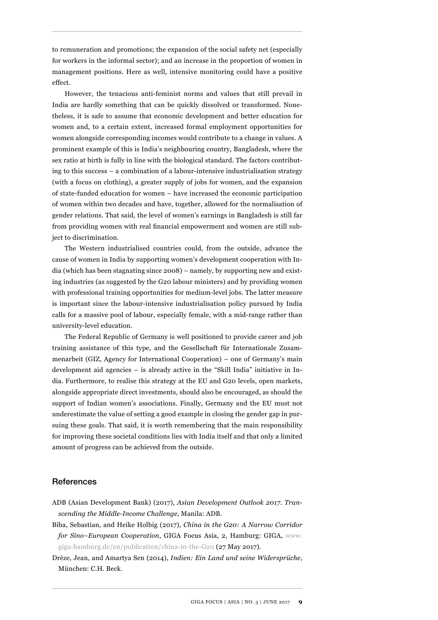to remuneration and promotions; the expansion of the social safety net (especially for workers in the informal sector); and an increase in the proportion of women in management positions. Here as well, intensive monitoring could have a positive effect.

However, the tenacious anti-feminist norms and values that still prevail in India are hardly something that can be quickly dissolved or transformed. Nonetheless, it is safe to assume that economic development and better education for women and, to a certain extent, increased formal employment opportunities for women alongside corresponding incomes would contribute to a change in values. A prominent example of this is India's neighbouring country, Bangladesh, where the sex ratio at birth is fully in line with the biological standard. The factors contributing to this success – a combination of a labour-intensive industrialisation strategy (with a focus on clothing), a greater supply of jobs for women, and the expansion of state-funded education for women – have increased the economic participation of women within two decades and have, together, allowed for the normalisation of gender relations. That said, the level of women's earnings in Bangladesh is still far from providing women with real financial empowerment and women are still subject to discrimination.

The Western industrialised countries could, from the outside, advance the cause of women in India by supporting women's development cooperation with India (which has been stagnating since 2008) – namely, by supporting new and existing industries (as suggested by the G20 labour ministers) and by providing women with professional training opportunities for medium-level jobs. The latter measure is important since the labour-intensive industrialisation policy pursued by India calls for a massive pool of labour, especially female, with a mid-range rather than university-level education.

The Federal Republic of Germany is well positioned to provide career and job training assistance of this type, and the Gesellschaft für Internationale Zusammenarbeit (GIZ, Agency for International Cooperation) – one of Germany's main development aid agencies – is already active in the "Skill India" initiative in India. Furthermore, to realise this strategy at the EU and G20 levels, open markets, alongside appropriate direct investments, should also be encouraged, as should the support of Indian women's associations. Finally, Germany and the EU must not underestimate the value of setting a good example in closing the gender gap in pursuing these goals. That said, it is worth remembering that the main responsibility for improving these societal conditions lies with India itself and that only a limited amount of progress can be achieved from the outside.

### References

- ADB (Asian Development Bank) (2017), *Asian Development Outlook 2017. Transcending the Middle-Income Challenge*, Manila: ADB.
- Biba, Sebastian, and Heike Holbig (2017), *China in the G20: A Narrow Corridor for Sino–European Cooperation*, GIGA Focus Asia, 2, Hamburg: GIGA, [www.](http://www.giga-hamburg.de/en/publication/china-in-the-G20) [giga-hamburg.de/en/publication/china-in-the-G20](http://www.giga-hamburg.de/en/publication/china-in-the-G20) (27 May 2017).
- Drèze, Jean, and Amartya Sen (2014), *Indien: Ein Land und seine Widersprüche*, München: C.H. Beck.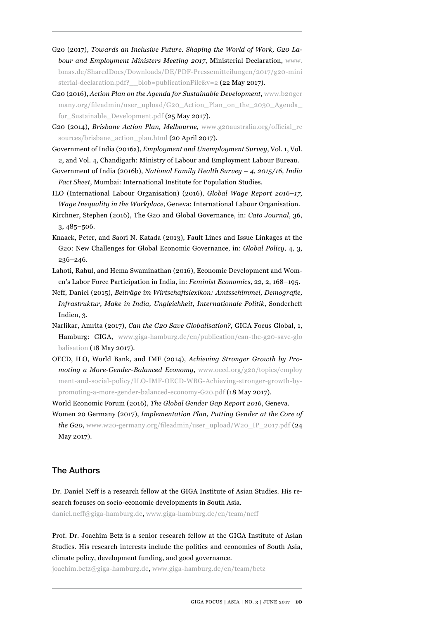- G20 (2017), *Towards an Inclusive Future. Shaping the World of Work, G20 Labour and Employment Ministers Meeting 2017*, Ministerial Declaration, [www.](http://www.bmas.de/SharedDocs/Downloads/DE/PDF-Pressemitteilungen/2017/g20-ministerial-declaration.pdf?__blob=publicationFile&v=2) [bmas.de/SharedDocs/Downloads/DE/PDF-Pressemitteilungen/2017/g20-mini](http://www.bmas.de/SharedDocs/Downloads/DE/PDF-Pressemitteilungen/2017/g20-ministerial-declaration.pdf?__blob=publicationFile&v=2)  [sterial-declaration.pdf?\\_\\_blob=publicationFile&v=2](http://www.bmas.de/SharedDocs/Downloads/DE/PDF-Pressemitteilungen/2017/g20-ministerial-declaration.pdf?__blob=publicationFile&v=2) (22 May 2017).
- G20 (2016), *Action Plan on the Agenda for Sustainable Development*, [www.b20ger](http://www.b20germany.org/fileadmin/user_upload/G20_Action_Plan_on_the_2030_Agenda_for_Sustainable_Development.pdf) [many.org/fileadmin/user\\_upload/G20\\_Action\\_Plan\\_on\\_the\\_2030\\_Agenda\\_](http://www.b20germany.org/fileadmin/user_upload/G20_Action_Plan_on_the_2030_Agenda_for_Sustainable_Development.pdf) [for\\_Sustainable\\_Development.pdf](http://www.b20germany.org/fileadmin/user_upload/G20_Action_Plan_on_the_2030_Agenda_for_Sustainable_Development.pdf) (25 May 2017).
- G20 (2014), *Brisbane Action Plan, Melbourne*, [www.g20australia.org/official\\_re](http://www.g20australia.org/official_resources/brisbane_action_plan.html) [sources/brisbane\\_action\\_plan.html](http://www.g20australia.org/official_resources/brisbane_action_plan.html) (20 April 2017).
- Government of India (2016a), *Employment and Unemployment Survey*, Vol. 1, Vol. 2, and Vol. 4, Chandigarh: Ministry of Labour and Employment Labour Bureau.
- Government of India (2016b), *National Family Health Survey 4, 2015/16, India Fact Sheet*, Mumbai: International Institute for Population Studies.
- ILO (International Labour Organisation) (2016), *Global Wage Report 2016–17,*
- *Wage Inequality in the Workplace*, Geneva: International Labour Organisation. Kirchner, Stephen (2016), The G20 and Global Governance, in: *Cato Journal*, 36, 3, 485*–*506.
- Knaack, Peter, and Saori N. Katada (2013), Fault Lines and Issue Linkages at the G20: New Challenges for Global Economic Governance, in: *Global Policy*, 4, 3, 236*–*246.
- Lahoti, Rahul, and Hema Swaminathan (2016), Economic Development and Women's Labor Force Participation in India, in: *Feminist Economics*, 22, 2, 168*–*195.
- Neff, Daniel (2015), *Beiträge im Wirtschaftslexikon: Amtsschimmel, Demografie, Infrastruktur, Make in India, Ungleichheit, Internationale Politik*, Sonderheft Indien, 3.
- Narlikar, Amrita (2017), *Can the G20 Save Globalisation?*, GIGA Focus Global, 1, Hamburg: GIGA, [www.giga-hamburg.de/en/publication/can-the-g20-save-glo](http://www.giga-hamburg.de/en/publication/can-the-g20-save-globalisation) [balisation](http://www.giga-hamburg.de/en/publication/can-the-g20-save-globalisation) (18 May 2017).
- OECD, ILO, World Bank, and IMF (2014), *Achieving Stronger Growth by Promoting a More-Gender-Balanced Economy*, [www.oecd.org/g20/topics/employ](http://www.oecd.org/g20/topics/employment-and-social-policy/ILO-IMF-OECD-WBG-Achieving-stronger-growth-by-promoting-a-more-gender-balanced-economy-G20.pdf) [ment-and-social-policy/ILO-IMF-OECD-WBG-Achieving-stronger-growth-by](http://www.oecd.org/g20/topics/employment-and-social-policy/ILO-IMF-OECD-WBG-Achieving-stronger-growth-by-promoting-a-more-gender-balanced-economy-G20.pdf)[promoting-a-more-gender-balanced-economy-G20.pdf](http://www.oecd.org/g20/topics/employment-and-social-policy/ILO-IMF-OECD-WBG-Achieving-stronger-growth-by-promoting-a-more-gender-balanced-economy-G20.pdf) (18 May 2017).
- World Economic Forum (2016), *The Global Gender Gap Report 2016*, Geneva.
- Women 20 Germany (2017), *Implementation Plan, Putting Gender at the Core of the G20*, [www.w20-germany.org/fileadmin/user\\_upload/W20\\_IP\\_2017.pdf](http://www.w20-germany.org/fileadmin/user_upload/W20_IP_2017.pdf ) (24 May 2017).

## The Authors

Dr. Daniel Neff is a research fellow at the GIGA Institute of Asian Studies. His research focuses on socio-economic developments in South Asia. daniel.neff@giga-hamburg.de, www.giga-hamburg.de/en/team/neff

Prof. Dr. Joachim Betz is a senior research fellow at the GIGA Institute of Asian Studies. His research interests include the politics and economies of South Asia, climate policy, development funding, and good governance.

joachim.betz@giga-hamburg.de, www.giga-hamburg.de/en/team/betz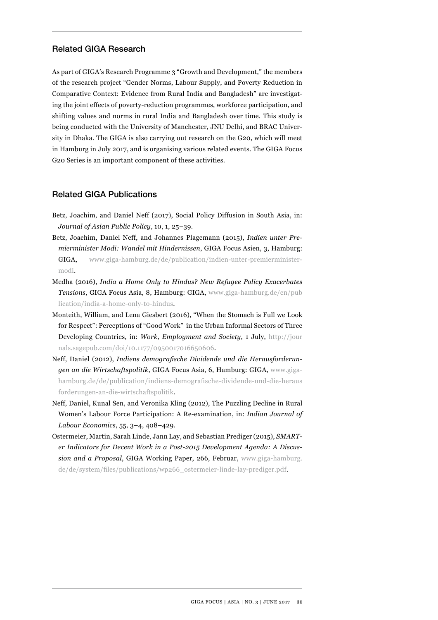## Related GIGA Research

As part of GIGA's Research Programme 3 "Growth and Development," the members of the research project "Gender Norms, Labour Supply, and Poverty Reduction in Comparative Context: Evidence from Rural India and Bangladesh" are investigating the joint effects of poverty-reduction programmes, workforce participation, and shifting values and norms in rural India and Bangladesh over time. This study is being conducted with the University of Manchester, JNU Delhi, and BRAC University in Dhaka. The GIGA is also carrying out research on the G20, which will meet in Hamburg in July 2017, and is organising various related events. The GIGA Focus G20 Series is an important component of these activities.

## Related GIGA Publications

- Betz, Joachim, and Daniel Neff (2017), Social Policy Diffusion in South Asia, in: *Journal of Asian Public Policy*, 10, 1, 25*–*39.
- Betz, Joachim, Daniel Neff, and Johannes Plagemann (2015), *[Indien unter Pre](https://www.giga-hamburg.de/de/publication/indien-unter-premierminister-modi)[mierminister Modi: Wandel mit Hindernissen](https://www.giga-hamburg.de/de/publication/indien-unter-premierminister-modi)*, GIGA Focus Asien, 3, Hamburg: GIGA, [www.giga-hamburg.de/de/publication/indien-unter-premierminister](http://www.giga-hamburg.de/de/publication/indien-unter-premierminister-modi)[modi.](http://www.giga-hamburg.de/de/publication/indien-unter-premierminister-modi)
- Medha (2016), *India a Home Only to Hindus? New Refugee Policy Exacerbates Tensions*[, G](https://www.giga-hamburg.de/de/publikation/indien-als-heimat-f%C3%BCr-hindus-weltweit-neue-fl%C3%BCchtlingspolitik-versch%C3%A4rft-spannungen-0)IGA Focus Asia, 8, Hamburg: GIGA, [www.giga-hamburg.de/en/pub](http://www.giga-hamburg.de/en/publication/india-a-home-only-to-hindus) [lication/india-a-home-only-to-hindus](http://www.giga-hamburg.de/en/publication/india-a-home-only-to-hindus).
- Monteith, William, and Lena Giesbert (2016), "When the Stomach is Full we Look for Respect": Perceptions of "Good Work" in the Urban Informal Sectors of Three Developing Countries, in: *Work, Employment and Society*, 1 July, [http://jour](http://journals.sagepub.com/doi/10.1177/0950017016650606) [nals.sagepub.com/doi/10.1177/0950017016650606](http://journals.sagepub.com/doi/10.1177/0950017016650606).
- Neff, Daniel (2012), *Indiens demografische Dividende und die Herausforderungen an die Wirtschaftspolitik*, GIGA Focus Asia, 6, Hamburg: GIGA, [www.giga](http://www.giga-hamburg.de/de/publication/indiens-demografische-dividende-und-die-herausforderungen-an-die-wirtschaftspolitik)[hamburg.de/de/publication/indiens-demografische-dividende-und-die-heraus](http://www.giga-hamburg.de/de/publication/indiens-demografische-dividende-und-die-herausforderungen-an-die-wirtschaftspolitik) [forderungen-an-die-wirtschaftspolitik](http://www.giga-hamburg.de/de/publication/indiens-demografische-dividende-und-die-herausforderungen-an-die-wirtschaftspolitik).
- Neff, Daniel, Kunal Sen, and Veronika Kling (2012), The Puzzling Decline in Rural Women's Labour Force Participation: A Re-examination, in: *Indian Journal of Labour Economics*, 55, 3*–*4, 408*–*429.
- Ostermeier, Martin, Sarah Linde, Jann Lay, and Sebastian Prediger (2015), *SMARTer Indicators for Decent Work in a Post-2015 Development Agenda: A Discussion and a Proposal*, GIGA Working Paper, 266, Februar, [www.giga-hamburg.](http://www.giga-hamburg.de/de/system/files/publications/wp266_ostermeier-linde-lay-prediger.pdf) [de/de/system/files/publications/wp266\\_ostermeier-linde-lay-prediger.pdf](http://www.giga-hamburg.de/de/system/files/publications/wp266_ostermeier-linde-lay-prediger.pdf).